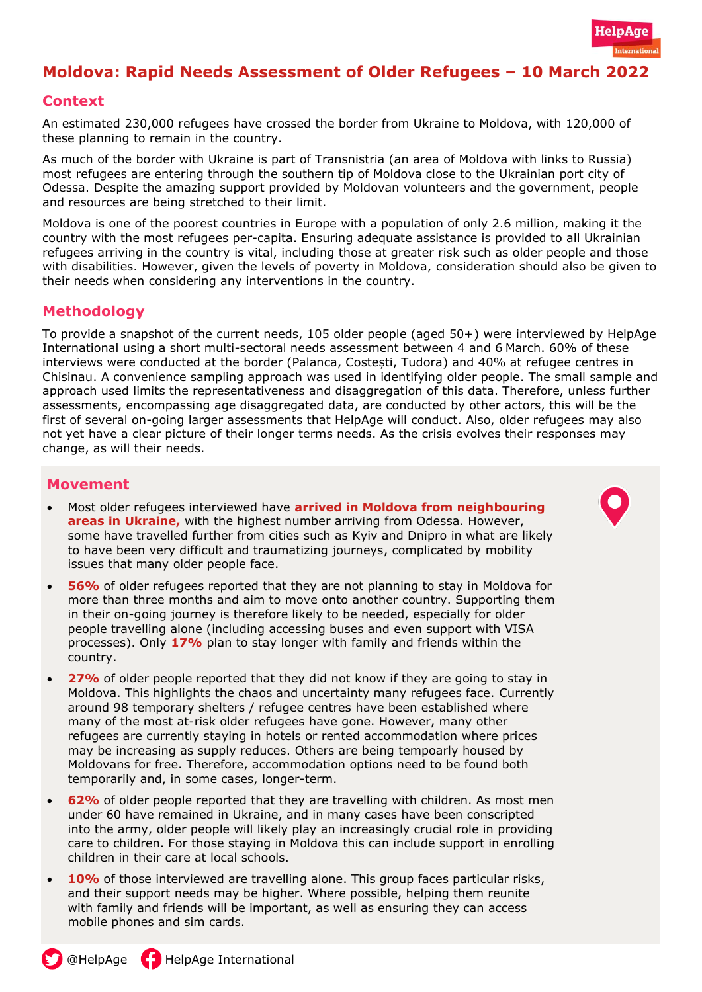

# **Moldova: Rapid Needs Assessment of Older Refugees – 10 March 2022**

#### **Context**

An estimated 230,000 refugees have crossed the border from Ukraine to Moldova, with 120,000 of these planning to remain in the country.

As much of the border with Ukraine is part of Transnistria (an area of Moldova with links to Russia) most refugees are entering through the southern tip of Moldova close to the Ukrainian port city of Odessa. Despite the amazing support provided by Moldovan volunteers and the government, people and resources are being stretched to their limit.

Moldova is one of the poorest countries in Europe with a population of only 2.6 million, making it the country with the most refugees per-capita. Ensuring adequate assistance is provided to all Ukrainian refugees arriving in the country is vital, including those at greater risk such as older people and those with disabilities. However, given the levels of poverty in Moldova, consideration should also be given to their needs when considering any interventions in the country.

#### **Methodology**

To provide a snapshot of the current needs, 105 older people (aged 50+) were interviewed by HelpAge International using a short multi-sectoral needs assessment between 4 and 6 March. 60% of these interviews were conducted at the border (Palanca, Costești, Tudora) and 40% at refugee centres in Chisinau. A convenience sampling approach was used in identifying older people. The small sample and approach used limits the representativeness and disaggregation of this data. Therefore, unless further assessments, encompassing age disaggregated data, are conducted by other actors, this will be the first of several on-going larger assessments that HelpAge will conduct. Also, older refugees may also not yet have a clear picture of their longer terms needs. As the crisis evolves their responses may change, as will their needs.

#### **Movement**

- Most older refugees interviewed have **arrived in Moldova from neighbouring areas in Ukraine,** with the highest number arriving from Odessa. However, some have travelled further from cities such as Kyiv and Dnipro in what are likely to have been very difficult and traumatizing journeys, complicated by mobility issues that many older people face.
- **56%** of older refugees reported that they are not planning to stay in Moldova for more than three months and aim to move onto another country. Supporting them in their on-going journey is therefore likely to be needed, especially for older people travelling alone (including accessing buses and even support with VISA processes). Only **17%** plan to stay longer with family and friends within the country.
- **27%** of older people reported that they did not know if they are going to stay in Moldova. This highlights the chaos and uncertainty many refugees face. Currently around 98 temporary shelters / refugee centres have been established where many of the most at-risk older refugees have gone. However, many other refugees are currently staying in hotels or rented accommodation where prices may be increasing as supply reduces. Others are being tempoarly housed by Moldovans for free. Therefore, accommodation options need to be found both temporarily and, in some cases, longer-term.
- **62%** of older people reported that they are travelling with children. As most men under 60 have remained in Ukraine, and in many cases have been conscripted into the army, older people will likely play an increasingly crucial role in providing care to children. For those staying in Moldova this can include support in enrolling children in their care at local schools.
- **10%** of those interviewed are travelling alone. This group faces particular risks, and their support needs may be higher. Where possible, helping them reunite with family and friends will be important, as well as ensuring they can access mobile phones and sim cards.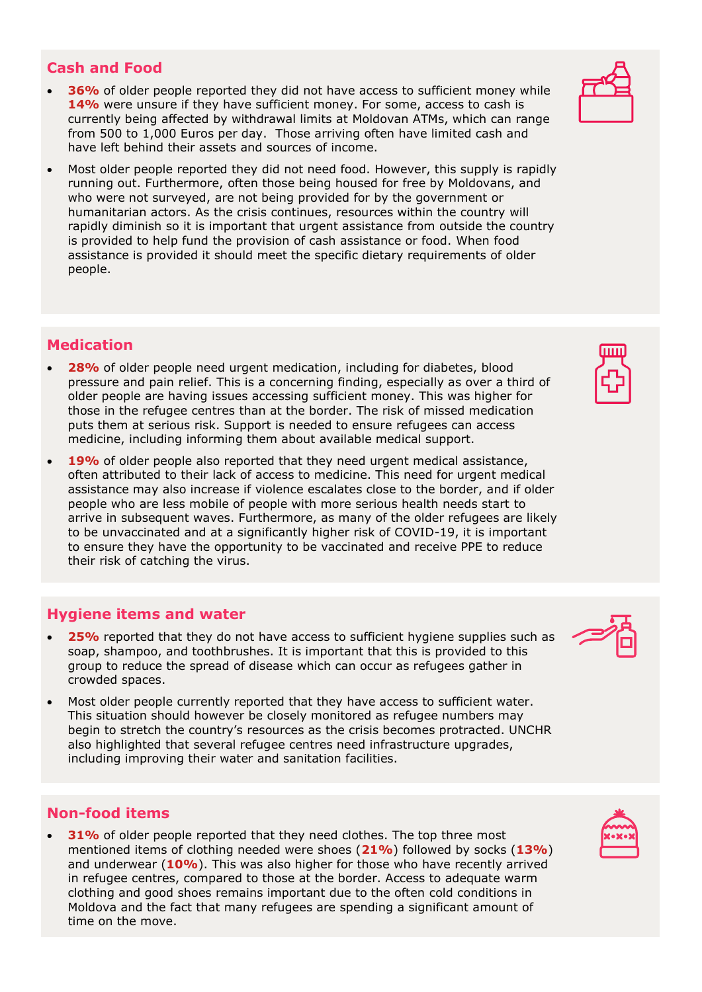#### **Cash and Food**

- **36%** of older people reported they did not have access to sufficient money while **14%** were unsure if they have sufficient money. For some, access to cash is currently being affected by withdrawal limits at Moldovan ATMs, which can range from 500 to 1,000 Euros per day. Those arriving often have limited cash and have left behind their assets and sources of income.
- Most older people reported they did not need food. However, this supply is rapidly running out. Furthermore, often those being housed for free by Moldovans, and who were not surveyed, are not being provided for by the government or humanitarian actors. As the crisis continues, resources within the country will rapidly diminish so it is important that urgent assistance from outside the country is provided to help fund the provision of cash assistance or food. When food assistance is provided it should meet the specific dietary requirements of older people.

### **Medication**

- **28%** of older people need urgent medication, including for diabetes, blood pressure and pain relief. This is a concerning finding, especially as over a third of older people are having issues accessing sufficient money. This was higher for those in the refugee centres than at the border. The risk of missed medication puts them at serious risk. Support is needed to ensure refugees can access medicine, including informing them about available medical support.
- 19% of older people also reported that they need urgent medical assistance, often attributed to their lack of access to medicine. This need for urgent medical assistance may also increase if violence escalates close to the border, and if older people who are less mobile of people with more serious health needs start to arrive in subsequent waves. Furthermore, as many of the older refugees are likely to be unvaccinated and at a significantly higher risk of COVID-19, it is important to ensure they have the opportunity to be vaccinated and receive PPE to reduce their risk of catching the virus.

#### **Hygiene items and water**

- 25% reported that they do not have access to sufficient hygiene supplies such as soap, shampoo, and toothbrushes. It is important that this is provided to this group to reduce the spread of disease which can occur as refugees gather in crowded spaces.
- Most older people currently reported that they have access to sufficient water. This situation should however be closely monitored as refugee numbers may begin to stretch the country's resources as the crisis becomes protracted. UNCHR also highlighted that several refugee centres need infrastructure upgrades, including improving their water and sanitation facilities.

### **Non-food items**

**31%** of older people reported that they need clothes. The top three most mentioned items of clothing needed were shoes (**21%**) followed by socks (**13%**) and underwear (**10%**). This was also higher for those who have recently arrived in refugee centres, compared to those at the border. Access to adequate warm clothing and good shoes remains important due to the often cold conditions in Moldova and the fact that many refugees are spending a significant amount of time on the move.